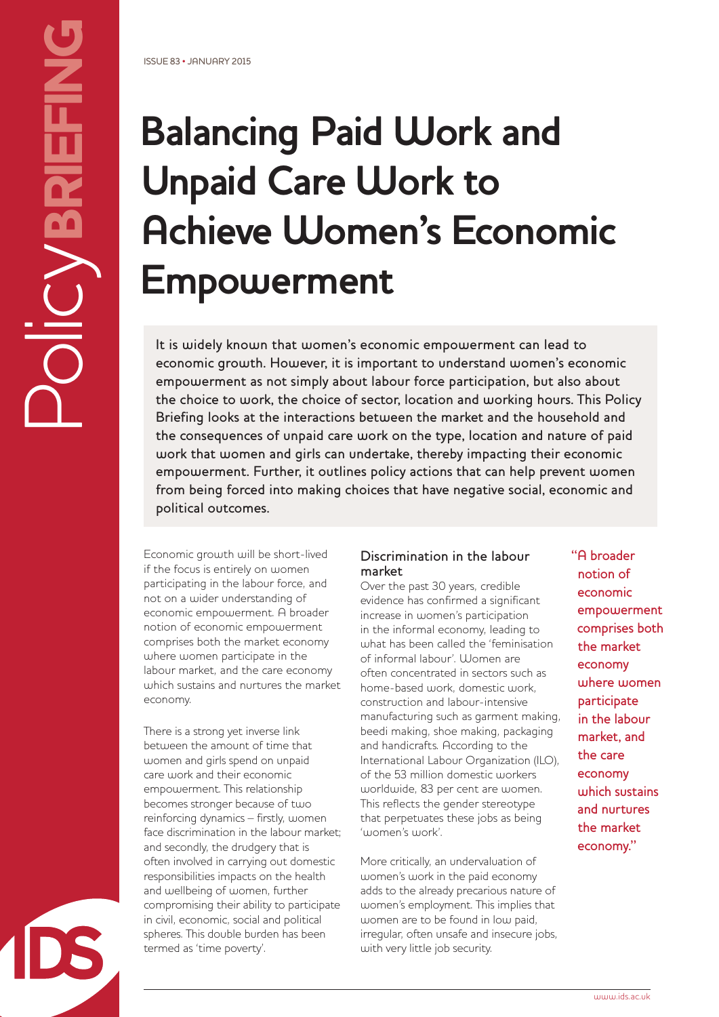# **Balancing Paid Work and Unpaid Care Work to Achieve Women's Economic Empowerment**

It is widely known that women's economic empowerment can lead to economic growth. However, it is important to understand women's economic empowerment as not simply about labour force participation, but also about the choice to work, the choice of sector, location and working hours. This Policy Briefing looks at the interactions between the market and the household and the consequences of unpaid care work on the type, location and nature of paid work that women and girls can undertake, thereby impacting their economic empowerment. Further, it outlines policy actions that can help prevent women from being forced into making choices that have negative social, economic and political outcomes.

Economic growth will be short-lived if the focus is entirely on women participating in the labour force, and not on a wider understanding of economic empowerment. A broader notion of economic empowerment comprises both the market economy where women participate in the labour market, and the care economy which sustains and nurtures the market economy.

There is a strong yet inverse link between the amount of time that women and girls spend on unpaid care work and their economic empowerment. This relationship becomes stronger because of two reinforcing dynamics – firstly, women face discrimination in the labour market; and secondly, the drudgery that is often involved in carrying out domestic responsibilities impacts on the health and wellbeing of women, further compromising their ability to participate in civil, economic, social and political spheres. This double burden has been termed as 'time poverty'.

## Discrimination in the labour market

Over the past 30 years, credible evidence has confirmed a significant increase in women's participation in the informal economy, leading to what has been called the 'feminisation of informal labour'. Women are often concentrated in sectors such as home-based work, domestic work, construction and labour-intensive manufacturing such as garment making, beedi making, shoe making, packaging and handicrafts. According to the International Labour Organization (ILO), of the 53 million domestic workers worldwide, 83 per cent are women. This reflects the gender stereotype that perpetuates these jobs as being 'women's work'.

More critically, an undervaluation of women's work in the paid economy adds to the already precarious nature of women's employment. This implies that women are to be found in low paid, irregular, often unsafe and insecure jobs, with very little job security.

"A broader notion of economic empowerment comprises both the market economy where women participate in the labour market, and the care economy which sustains and nurtures the market economy."

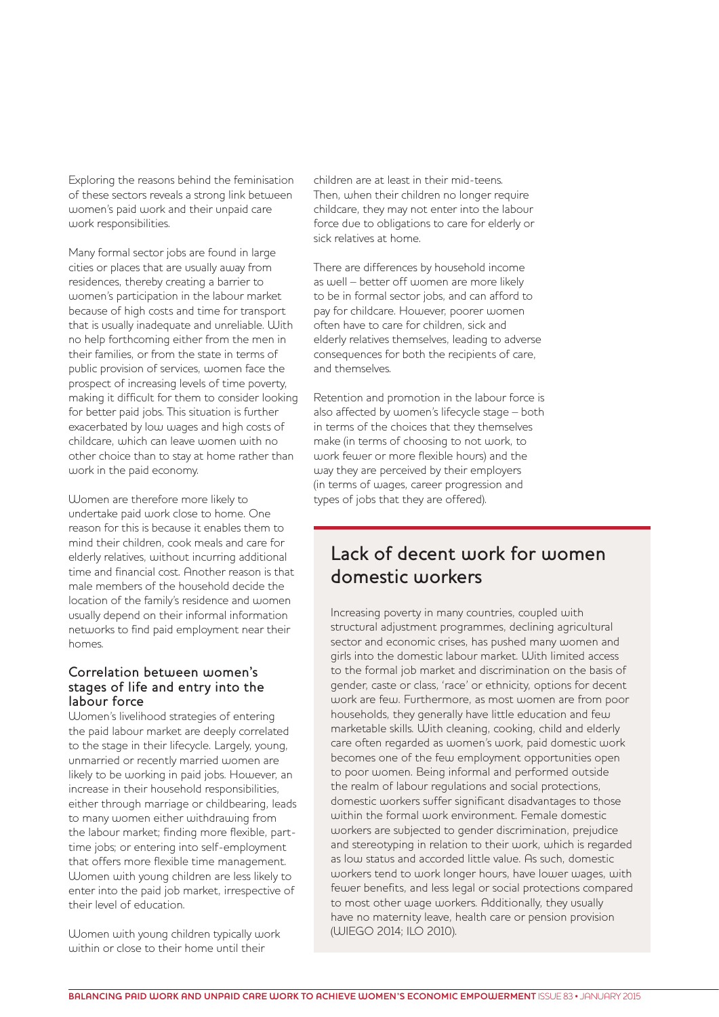Exploring the reasons behind the feminisation of these sectors reveals a strong link between women's paid work and their unpaid care work responsibilities.

Many formal sector jobs are found in large cities or places that are usually away from residences, thereby creating a barrier to women's participation in the labour market because of high costs and time for transport that is usually inadequate and unreliable. With no help forthcoming either from the men in their families, or from the state in terms of public provision of services, women face the prospect of increasing levels of time poverty, making it difficult for them to consider looking for better paid jobs. This situation is further exacerbated by low wages and high costs of childcare, which can leave women with no other choice than to stay at home rather than work in the paid economy.

Women are therefore more likely to undertake paid work close to home. One reason for this is because it enables them to mind their children, cook meals and care for elderly relatives, without incurring additional time and financial cost. Another reason is that male members of the household decide the location of the family's residence and women usually depend on their informal information networks to find paid employment near their homes.

#### Correlation between women's stages of life and entry into the labour force

Women's livelihood strategies of entering the paid labour market are deeply correlated to the stage in their lifecycle. Largely, young, unmarried or recently married women are likely to be working in paid jobs. However, an increase in their household responsibilities, either through marriage or childbearing, leads to many women either withdrawing from the labour market; finding more flexible, parttime jobs; or entering into self-employment that offers more flexible time management. Women with young children are less likely to enter into the paid job market, irrespective of their level of education.

Women with young children typically work within or close to their home until their

children are at least in their mid-teens. Then, when their children no longer require childcare, they may not enter into the labour force due to obligations to care for elderly or sick relatives at home.

There are differences by household income as well – better off women are more likely to be in formal sector jobs, and can afford to pay for childcare. However, poorer women often have to care for children, sick and elderly relatives themselves, leading to adverse consequences for both the recipients of care, and themselves.

Retention and promotion in the labour force is also affected by women's lifecycle stage – both in terms of the choices that they themselves make (in terms of choosing to not work, to work fewer or more flexible hours) and the way they are perceived by their employers (in terms of wages, career progression and types of jobs that they are offered).

# Lack of decent work for women domestic workers

Increasing poverty in many countries, coupled with structural adjustment programmes, declining agricultural sector and economic crises, has pushed many women and girls into the domestic labour market. With limited access to the formal job market and discrimination on the basis of gender, caste or class, 'race' or ethnicity, options for decent work are few. Furthermore, as most women are from poor households, they generally have little education and few marketable skills. With cleaning, cooking, child and elderly care often regarded as women's work, paid domestic work becomes one of the few employment opportunities open to poor women. Being informal and performed outside the realm of labour regulations and social protections, domestic workers suffer significant disadvantages to those within the formal work environment. Female domestic workers are subjected to gender discrimination, prejudice and stereotyping in relation to their work, which is regarded as low status and accorded little value. As such, domestic workers tend to work longer hours, have lower wages, with fewer benefits, and less legal or social protections compared to most other wage workers. Additionally, they usually have no maternity leave, health care or pension provision (WIEGO 2014; ILO 2010).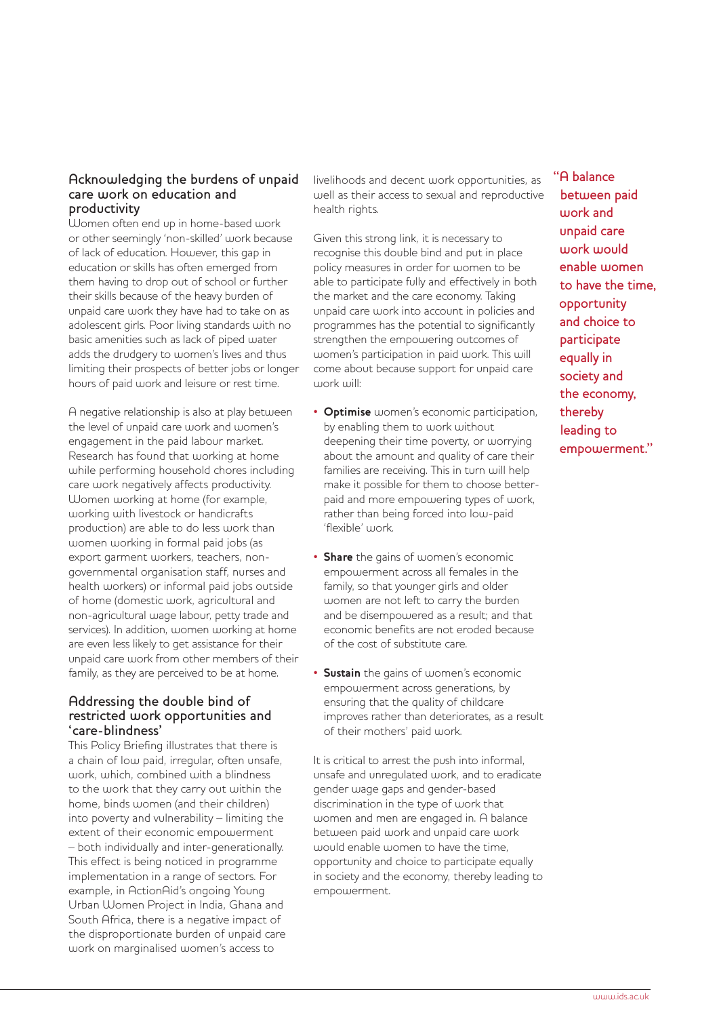### Acknowledging the burdens of unpaid care work on education and productivity

Women often end up in home-based work or other seemingly 'non-skilled' work because of lack of education. However, this gap in education or skills has often emerged from them having to drop out of school or further their skills because of the heavy burden of unpaid care work they have had to take on as adolescent girls. Poor living standards with no basic amenities such as lack of piped water adds the drudgery to women's lives and thus limiting their prospects of better jobs or longer hours of paid work and leisure or rest time.

A negative relationship is also at play between the level of unpaid care work and women's engagement in the paid labour market. Research has found that working at home while performing household chores including care work negatively affects productivity. Women working at home (for example, working with livestock or handicrafts production) are able to do less work than women working in formal paid jobs (as export garment workers, teachers, nongovernmental organisation staff, nurses and health workers) or informal paid jobs outside of home (domestic work, agricultural and non-agricultural wage labour, petty trade and services). In addition, women working at home are even less likely to get assistance for their unpaid care work from other members of their family, as they are perceived to be at home.

#### Addressing the double bind of restricted work opportunities and 'care-blindness'

This Policy Briefing illustrates that there is a chain of low paid, irregular, often unsafe, work, which, combined with a blindness to the work that they carry out within the home, binds women (and their children) into poverty and vulnerability – limiting the extent of their economic empowerment – both individually and inter-generationally. This effect is being noticed in programme implementation in a range of sectors. For example, in ActionAid's ongoing Young Urban Women Project in India, Ghana and South Africa, there is a negative impact of the disproportionate burden of unpaid care work on marginalised women's access to

livelihoods and decent work opportunities, as well as their access to sexual and reproductive health rights.

Given this strong link, it is necessary to recognise this double bind and put in place policy measures in order for women to be able to participate fully and effectively in both the market and the care economy. Taking unpaid care work into account in policies and programmes has the potential to significantly strengthen the empowering outcomes of women's participation in paid work. This will come about because support for unpaid care work will:

- **Optimise** women's economic participation, by enabling them to work without deepening their time poverty, or worrying about the amount and quality of care their families are receiving. This in turn will help make it possible for them to choose betterpaid and more empowering types of work, rather than being forced into low-paid 'flexible' work.
- **Share** the gains of women's economic empowerment across all females in the family, so that younger girls and older women are not left to carry the burden and be disempowered as a result; and that economic benefits are not eroded because of the cost of substitute care.
- **Sustain** the gains of women's economic empowerment across generations, by ensuring that the quality of childcare improves rather than deteriorates, as a result of their mothers' paid work.

It is critical to arrest the push into informal, unsafe and unregulated work, and to eradicate gender wage gaps and gender-based discrimination in the type of work that women and men are engaged in. A balance between paid work and unpaid care work would enable women to have the time, opportunity and choice to participate equally in society and the economy, thereby leading to empowerment.

"A balance between paid work and unpaid care work would enable women to have the time, opportunity and choice to participate equally in society and the economy, thereby leading to empowerment."